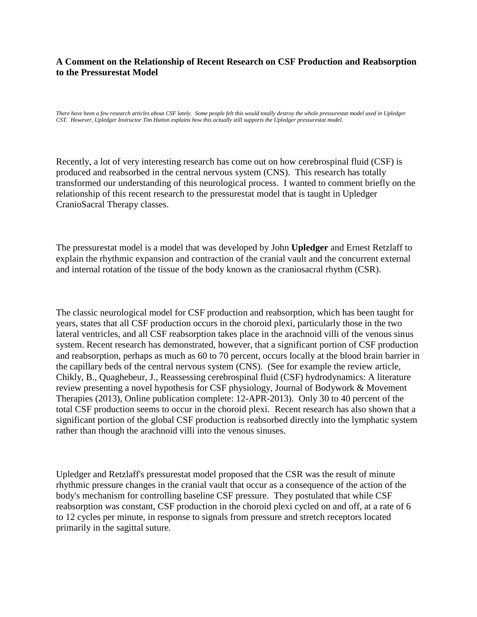## **A Comment on the Relationship of Recent Research on CSF Production and Reabsorption to the Pressurestat Model**

*There have been a few research articles about CSF lately. Some people felt this would totally destroy the whole pressurestat model used in Upledger CST. However, Upledger Instructor Tim Hutton explains how this actually still supports the Upledger pressurestat model.*

Recently, a lot of very interesting research has come out on how cerebrospinal fluid (CSF) is produced and reabsorbed in the central nervous system (CNS). This research has totally transformed our understanding of this neurological process. I wanted to comment briefly on the relationship of this recent research to the pressurestat model that is taught in Upledger CranioSacral Therapy classes.

The pressurestat model is a model that was developed by John **Upledger** and Ernest Retzlaff to explain the rhythmic expansion and contraction of the cranial vault and the concurrent external and internal rotation of the tissue of the body known as the craniosacral rhythm (CSR).

The classic neurological model for CSF production and reabsorption, which has been taught for years, states that all CSF production occurs in the choroid plexi, particularly those in the two lateral ventricles, and all CSF reabsorption takes place in the arachnoid villi of the venous sinus system. Recent research has demonstrated, however, that a significant portion of CSF production and reabsorption, perhaps as much as 60 to 70 percent, occurs locally at the blood brain barrier in the capillary beds of the central nervous system (CNS). (See for example the review article, Chikly, B., Quaghebeur, J., Reassessing cerebrospinal fluid (CSF) hydrodynamics: A literature review presenting a novel hypothesis for CSF physiology, Journal of Bodywork & Movement Therapies (2013), Online publication complete: 12-APR-2013). Only 30 to 40 percent of the total CSF production seems to occur in the choroid plexi. Recent research has also shown that a significant portion of the global CSF production is reabsorbed directly into the lymphatic system rather than though the arachnoid villi into the venous sinuses.

Upledger and Retzlaff's pressurestat model proposed that the CSR was the result of minute rhythmic pressure changes in the cranial vault that occur as a consequence of the action of the body's mechanism for controlling baseline CSF pressure. They postulated that while CSF reabsorption was constant, CSF production in the choroid plexi cycled on and off, at a rate of 6 to 12 cycles per minute, in response to signals from pressure and stretch receptors located primarily in the sagittal suture.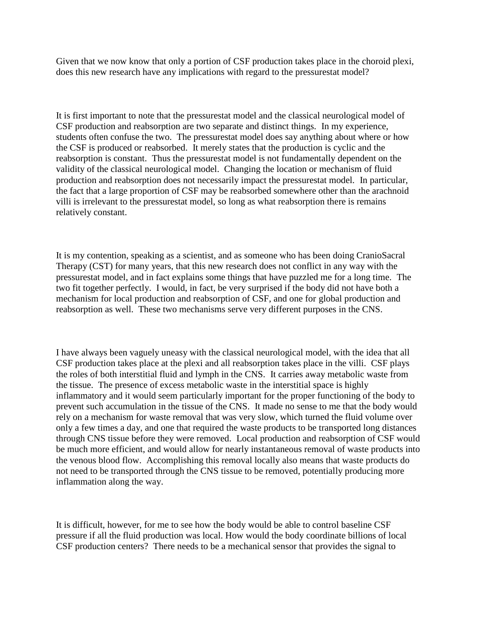Given that we now know that only a portion of CSF production takes place in the choroid plexi, does this new research have any implications with regard to the pressurestat model?

It is first important to note that the pressurestat model and the classical neurological model of CSF production and reabsorption are two separate and distinct things. In my experience, students often confuse the two. The pressurestat model does say anything about where or how the CSF is produced or reabsorbed. It merely states that the production is cyclic and the reabsorption is constant. Thus the pressurestat model is not fundamentally dependent on the validity of the classical neurological model. Changing the location or mechanism of fluid production and reabsorption does not necessarily impact the pressurestat model. In particular, the fact that a large proportion of CSF may be reabsorbed somewhere other than the arachnoid villi is irrelevant to the pressurestat model, so long as what reabsorption there is remains relatively constant.

It is my contention, speaking as a scientist, and as someone who has been doing CranioSacral Therapy (CST) for many years, that this new research does not conflict in any way with the pressurestat model, and in fact explains some things that have puzzled me for a long time. The two fit together perfectly. I would, in fact, be very surprised if the body did not have both a mechanism for local production and reabsorption of CSF, and one for global production and reabsorption as well. These two mechanisms serve very different purposes in the CNS.

I have always been vaguely uneasy with the classical neurological model, with the idea that all CSF production takes place at the plexi and all reabsorption takes place in the villi. CSF plays the roles of both interstitial fluid and lymph in the CNS. It carries away metabolic waste from the tissue. The presence of excess metabolic waste in the interstitial space is highly inflammatory and it would seem particularly important for the proper functioning of the body to prevent such accumulation in the tissue of the CNS. It made no sense to me that the body would rely on a mechanism for waste removal that was very slow, which turned the fluid volume over only a few times a day, and one that required the waste products to be transported long distances through CNS tissue before they were removed. Local production and reabsorption of CSF would be much more efficient, and would allow for nearly instantaneous removal of waste products into the venous blood flow. Accomplishing this removal locally also means that waste products do not need to be transported through the CNS tissue to be removed, potentially producing more inflammation along the way.

It is difficult, however, for me to see how the body would be able to control baseline CSF pressure if all the fluid production was local. How would the body coordinate billions of local CSF production centers? There needs to be a mechanical sensor that provides the signal to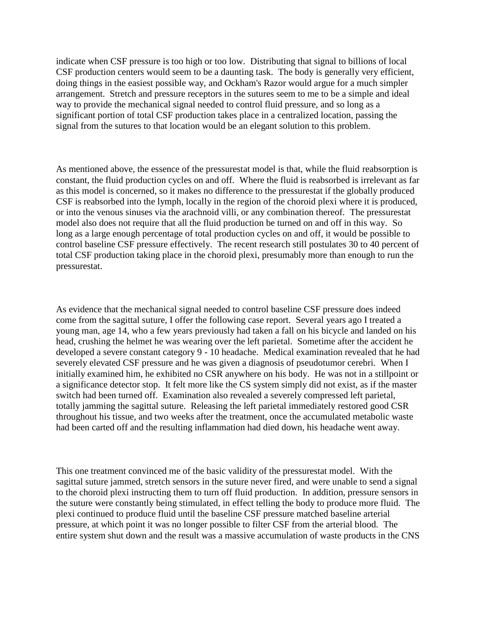indicate when CSF pressure is too high or too low. Distributing that signal to billions of local CSF production centers would seem to be a daunting task. The body is generally very efficient, doing things in the easiest possible way, and Ockham's Razor would argue for a much simpler arrangement. Stretch and pressure receptors in the sutures seem to me to be a simple and ideal way to provide the mechanical signal needed to control fluid pressure, and so long as a significant portion of total CSF production takes place in a centralized location, passing the signal from the sutures to that location would be an elegant solution to this problem.

As mentioned above, the essence of the pressurestat model is that, while the fluid reabsorption is constant, the fluid production cycles on and off. Where the fluid is reabsorbed is irrelevant as far as this model is concerned, so it makes no difference to the pressurestat if the globally produced CSF is reabsorbed into the lymph, locally in the region of the choroid plexi where it is produced, or into the venous sinuses via the arachnoid villi, or any combination thereof. The pressurestat model also does not require that all the fluid production be turned on and off in this way. So long as a large enough percentage of total production cycles on and off, it would be possible to control baseline CSF pressure effectively. The recent research still postulates 30 to 40 percent of total CSF production taking place in the choroid plexi, presumably more than enough to run the pressurestat.

As evidence that the mechanical signal needed to control baseline CSF pressure does indeed come from the sagittal suture, I offer the following case report. Several years ago I treated a young man, age 14, who a few years previously had taken a fall on his bicycle and landed on his head, crushing the helmet he was wearing over the left parietal. Sometime after the accident he developed a severe constant category 9 - 10 headache. Medical examination revealed that he had severely elevated CSF pressure and he was given a diagnosis of pseudotumor cerebri. When I initially examined him, he exhibited no CSR anywhere on his body. He was not in a stillpoint or a significance detector stop. It felt more like the CS system simply did not exist, as if the master switch had been turned off. Examination also revealed a severely compressed left parietal, totally jamming the sagittal suture. Releasing the left parietal immediately restored good CSR throughout his tissue, and two weeks after the treatment, once the accumulated metabolic waste had been carted off and the resulting inflammation had died down, his headache went away.

This one treatment convinced me of the basic validity of the pressurestat model. With the sagittal suture jammed, stretch sensors in the suture never fired, and were unable to send a signal to the choroid plexi instructing them to turn off fluid production. In addition, pressure sensors in the suture were constantly being stimulated, in effect telling the body to produce more fluid. The plexi continued to produce fluid until the baseline CSF pressure matched baseline arterial pressure, at which point it was no longer possible to filter CSF from the arterial blood. The entire system shut down and the result was a massive accumulation of waste products in the CNS